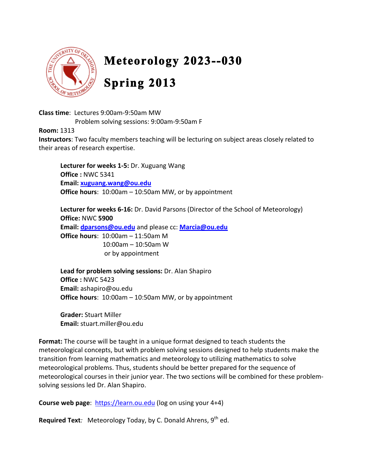

# Meteorology 2023--030 **Spring 2013**

Class time: Lectures 9:00am-9:50am MW

Problem solving sessions: 9:00am-9:50am F

**Room: 1313** 

Instructors: Two faculty members teaching will be lecturing on subject areas closely related to their areas of research expertise.

Lecturer for weeks 1-5: Dr. Xuguang Wang Office: NWC 5341 Email: xuguang.wang@ou.edu Office hours:  $10:00$ am  $-10:50$ am MW, or by appointment

Lecturer for weeks 6-16: Dr. David Parsons (Director of the School of Meteorology) Office: NWC 5900 Email: dparsons@ou.edu and please cc: Marcia@ou.edu **Office hours:**  $10:00am - 11:50am M$ 10:00am - 10:50am W or by appointment

Lead for problem solving sessions: Dr. Alan Shapiro Office: NWC 5423 Email: ashapiro@ou.edu Office hours: 10:00am - 10:50am MW, or by appointment

**Grader: Stuart Miller** Email: stuart.miller@ou.edu

Format: The course will be taught in a unique format designed to teach students the meteorological concepts, but with problem solving sessions designed to help students make the transition from learning mathematics and meteorology to utilizing mathematics to solve meteorological problems. Thus, students should be better prepared for the sequence of meteorological courses in their junior year. The two sections will be combined for these problemsolving sessions led Dr. Alan Shapiro.

**Course web page:** https://learn.ou.edu (log on using your 4+4)

**Required Text**: Meteorology Today, by C. Donald Ahrens,  $9<sup>th</sup>$  ed.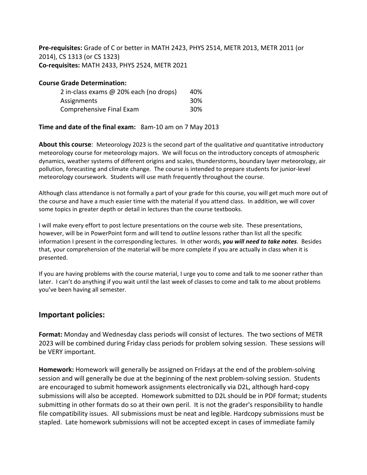Pre-requisites: Grade of C or better in MATH 2423, PHYS 2514, METR 2013, METR 2011 (or 2014), CS 1313 (or CS 1323) Co-requisites: MATH 2433, PHYS 2524, METR 2021

#### **Course Grade Determination:**

| 2 in-class exams @ 20% each (no drops) | 40% |
|----------------------------------------|-----|
| Assignments                            | 30% |
| Comprehensive Final Exam               | 30% |

#### Time and date of the final exam: 8am-10 am on 7 May 2013

About this course: Meteorology 2023 is the second part of the qualitative and quantitative introductory meteorology course for meteorology majors. We will focus on the introductory concepts of atmospheric dynamics, weather systems of different origins and scales, thunderstorms, boundary layer meteorology, air pollution, forecasting and climate change. The course is intended to prepare students for junior-level meteorology coursework. Students will use math frequently throughout the course.

Although class attendance is not formally a part of your grade for this course, you will get much more out of the course and have a much easier time with the material if you attend class. In addition, we will cover some topics in greater depth or detail in lectures than the course textbooks.

I will make every effort to post lecture presentations on the course web site. These presentations, however, will be in PowerPoint form and will tend to outline lessons rather than list all the specific information I present in the corresponding lectures. In other words, you will need to take notes. Besides that, your comprehension of the material will be more complete if you are actually in class when it is presented.

If you are having problems with the course material, I urge you to come and talk to me sooner rather than later. I can't do anything if you wait until the last week of classes to come and talk to me about problems you've been having all semester.

### **Important policies:**

Format: Monday and Wednesday class periods will consist of lectures. The two sections of METR 2023 will be combined during Friday class periods for problem solving session. These sessions will be VERY important.

Homework: Homework will generally be assigned on Fridays at the end of the problem-solving session and will generally be due at the beginning of the next problem-solving session. Students are encouraged to submit homework assignments electronically via D2L, although hard-copy submissions will also be accepted. Homework submitted to D2L should be in PDF format; students submitting in other formats do so at their own peril. It is not the grader's responsibility to handle file compatibility issues. All submissions must be neat and legible. Hardcopy submissions must be stapled. Late homework submissions will not be accepted except in cases of immediate family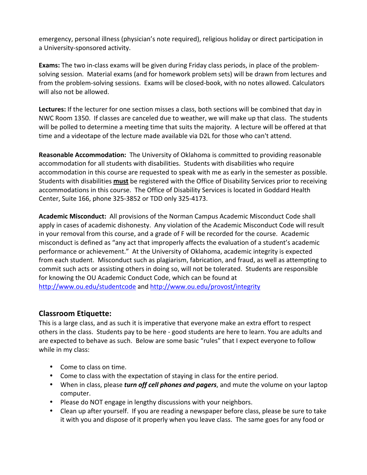emergency, personal illness (physician's note required), religious holiday or direct participation in a University-sponsored activity.

Exams: The two in-class exams will be given during Friday class periods, in place of the problemsolving session. Material exams (and for homework problem sets) will be drawn from lectures and from the problem-solving sessions. Exams will be closed-book, with no notes allowed. Calculators will also not be allowed.

Lectures: If the lecturer for one section misses a class, both sections will be combined that day in NWC Room 1350. If classes are canceled due to weather, we will make up that class. The students will be polled to determine a meeting time that suits the majority. A lecture will be offered at that time and a videotape of the lecture made available via D2L for those who can't attend.

Reasonable Accommodation: The University of Oklahoma is committed to providing reasonable accommodation for all students with disabilities. Students with disabilities who require accommodation in this course are requested to speak with me as early in the semester as possible. Students with disabilities must be registered with the Office of Disability Services prior to receiving accommodations in this course. The Office of Disability Services is located in Goddard Health Center, Suite 166, phone 325-3852 or TDD only 325-4173.

**Academic Misconduct:** All provisions of the Norman Campus Academic Misconduct Code shall apply in cases of academic dishonesty. Any violation of the Academic Misconduct Code will result in your removal from this course, and a grade of F will be recorded for the course. Academic misconduct is defined as "any act that improperly affects the evaluation of a student's academic performance or achievement." At the University of Oklahoma, academic integrity is expected from each student. Misconduct such as plagiarism, fabrication, and fraud, as well as attempting to commit such acts or assisting others in doing so, will not be tolerated. Students are responsible for knowing the OU Academic Conduct Code, which can be found at http://www.ou.edu/studentcode and http://www.ou.edu/provost/integrity

## **Classroom Etiquette:**

This is a large class, and as such it is imperative that everyone make an extra effort to respect others in the class. Students pay to be here - good students are here to learn. You are adults and are expected to behave as such. Below are some basic "rules" that I expect everyone to follow while in my class:

- Come to class on time.
- Come to class with the expectation of staying in class for the entire period.
- When in class, please turn off cell phones and pagers, and mute the volume on your laptop computer.
- Please do NOT engage in lengthy discussions with your neighbors.
- Clean up after yourself. If you are reading a newspaper before class, please be sure to take it with you and dispose of it properly when you leave class. The same goes for any food or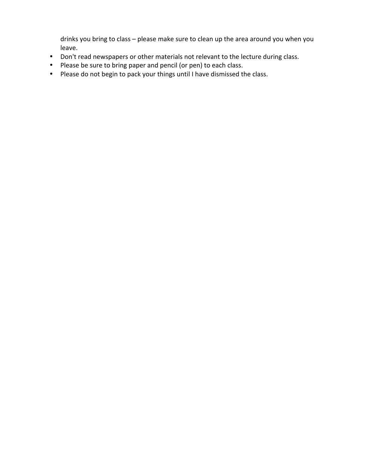drinks you bring to class - please make sure to clean up the area around you when you leave.

- Don't read newspapers or other materials not relevant to the lecture during class.
- Please be sure to bring paper and pencil (or pen) to each class.
- Please do not begin to pack your things until I have dismissed the class.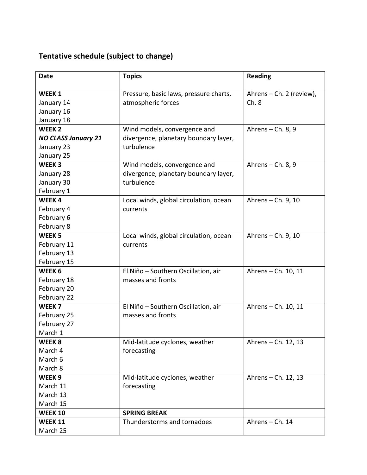# Tentative schedule (subject to change)

| <b>Date</b>                | <b>Topics</b>                          | <b>Reading</b>           |
|----------------------------|----------------------------------------|--------------------------|
| WEEK 1                     | Pressure, basic laws, pressure charts, | Ahrens - Ch. 2 (review), |
| January 14                 | atmospheric forces                     | Ch.8                     |
| January 16                 |                                        |                          |
| January 18                 |                                        |                          |
| WEEK <sub>2</sub>          | Wind models, convergence and           | Ahrens $-$ Ch. 8, 9      |
| <b>NO CLASS January 21</b> | divergence, planetary boundary layer,  |                          |
| January 23                 | turbulence                             |                          |
| January 25                 |                                        |                          |
| WEEK <sub>3</sub>          | Wind models, convergence and           | Ahrens $-$ Ch. 8, 9      |
| January 28                 | divergence, planetary boundary layer,  |                          |
| January 30                 | turbulence                             |                          |
| February 1                 |                                        |                          |
| WEEK4                      | Local winds, global circulation, ocean | Ahrens - Ch. 9, 10       |
| February 4                 | currents                               |                          |
| February 6                 |                                        |                          |
| February 8                 |                                        |                          |
| WEEK <sub>5</sub>          | Local winds, global circulation, ocean | Ahrens - Ch. 9, 10       |
| February 11                | currents                               |                          |
| February 13                |                                        |                          |
| February 15                |                                        |                          |
| WEEK 6                     | El Niño - Southern Oscillation, air    | Ahrens - Ch. 10, 11      |
| February 18                | masses and fronts                      |                          |
| February 20                |                                        |                          |
| February 22                |                                        |                          |
| WEEK <sub>7</sub>          | El Niño - Southern Oscillation, air    | Ahrens - Ch. 10, 11      |
| February 25                | masses and fronts                      |                          |
| February 27                |                                        |                          |
| March 1                    |                                        |                          |
| WEEK <sub>8</sub>          | Mid-latitude cyclones, weather         | Ahrens - Ch. 12, 13      |
| March 4                    | forecasting                            |                          |
| March 6                    |                                        |                          |
| March 8                    |                                        |                          |
| WEEK <sub>9</sub>          | Mid-latitude cyclones, weather         | Ahrens - Ch. 12, 13      |
| March 11                   | forecasting                            |                          |
| March 13                   |                                        |                          |
| March 15                   |                                        |                          |
| <b>WEEK 10</b>             | <b>SPRING BREAK</b>                    |                          |
| <b>WEEK 11</b>             | Thunderstorms and tornadoes            | Ahrens - Ch. 14          |
| March 25                   |                                        |                          |